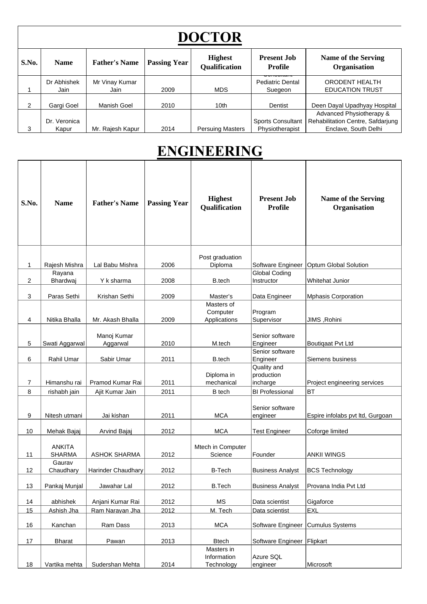|                | <b>DOCTOR</b>         |                        |                     |                                        |                                                     |                                                                                       |  |  |  |  |
|----------------|-----------------------|------------------------|---------------------|----------------------------------------|-----------------------------------------------------|---------------------------------------------------------------------------------------|--|--|--|--|
| S.No.          | <b>Name</b>           | <b>Father's Name</b>   | <b>Passing Year</b> | <b>Highest</b><br><b>Qualification</b> | <b>Present Job</b><br>Profile                       | Name of the Serving<br>Organisation                                                   |  |  |  |  |
|                | Dr Abhishek<br>Jain   | Mr Vinay Kumar<br>Jain | 2009                | <b>MDS</b>                             | ,,,,,,,,,,,,,<br><b>Pediatric Dental</b><br>Suegeon | ORODENT HEALTH<br><b>EDUCATION TRUST</b>                                              |  |  |  |  |
| $\overline{2}$ | Gargi Goel            | Manish Goel            | 2010                | 10th                                   | Dentist                                             | Deen Dayal Upadhyay Hospital                                                          |  |  |  |  |
| 3              | Dr. Veronica<br>Kapur | Mr. Rajesh Kapur       | 2014                | <b>Persuing Masters</b>                | <b>Sports Consultant</b><br>Physiotherapist         | Advanced Physiotherapy &<br>Rehabilitation Centre, Safdarjung<br>Enclave, South Delhi |  |  |  |  |

#### **ENGINEERING**

| S.No. | <b>Name</b>                    | <b>Father's Name</b>    | <b>Passing Year</b> | <b>Highest</b><br><b>Qualification</b>  | <b>Present Job</b><br><b>Profile</b>  | <b>Name of the Serving</b><br>Organisation |
|-------|--------------------------------|-------------------------|---------------------|-----------------------------------------|---------------------------------------|--------------------------------------------|
| 1     | Rajesh Mishra                  | Lal Babu Mishra         | 2006                | Post graduation<br>Diploma              | Software Engineer                     | Optum Global Solution                      |
| 2     | Rayana<br>Bhardwaj             | Y k sharma              | 2008                | B.tech                                  | <b>Global Coding</b><br>Instructor    | Whitehat Junior                            |
| 3     | Paras Sethi                    | Krishan Sethi           | 2009                | Master's                                | Data Engineer                         | <b>Mphasis Corporation</b>                 |
| 4     | Nitika Bhalla                  | Mr. Akash Bhalla        | 2009                | Masters of<br>Computer<br>Applications  | Program<br>Supervisor                 | JIMS, Rohini                               |
| 5     | Swati Aggarwal                 | Manoj Kumar<br>Aggarwal | 2010                | M.tech                                  | Senior software<br>Engineer           | <b>Boutiqaat Pvt Ltd</b>                   |
| 6     | Rahil Umar                     | Sabir Umar              | 2011                | B.tech                                  | Senior software<br>Engineer           | Siemens business                           |
| 7     | Himanshu rai                   | Pramod Kumar Rai        | 2011                | Diploma in<br>mechanical                | Quality and<br>production<br>incharge | Project engineering services               |
| 8     | rishabh jain                   | Ajit Kumar Jain         | 2011                | <b>B</b> tech                           | <b>BI Professional</b>                | <b>BT</b>                                  |
| 9     | Nitesh utmani                  | Jai kishan              | 2011                | <b>MCA</b>                              | Senior software<br>engineer           | Espire infolabs pvt ltd, Gurgoan           |
| 10    | Mehak Bajaj                    | Arvind Bajaj            | 2012                | <b>MCA</b>                              | <b>Test Engineer</b>                  | Coforge limited                            |
| 11    | <b>ANKITA</b><br><b>SHARMA</b> | <b>ASHOK SHARMA</b>     | 2012                | Mtech in Computer<br>Science            | Founder                               | <b>ANKII WINGS</b>                         |
| 12    | Gaurav<br>Chaudhary            | Harinder Chaudhary      | 2012                | <b>B-Tech</b>                           | <b>Business Analyst</b>               | <b>BCS Technology</b>                      |
| 13    | Pankaj Munjal                  | Jawahar Lal             | 2012                | <b>B.Tech</b>                           | <b>Business Analyst</b>               | Provana India Pvt Ltd                      |
| 14    | abhishek                       | Anjani Kumar Rai        | 2012                | MS                                      | Data scientist                        | Gigaforce                                  |
| 15    | Ashish Jha                     | Ram Narayan Jha         | 2012                | M. Tech                                 | Data scientist                        | <b>EXL</b>                                 |
| 16    | Kanchan                        | Ram Dass                | 2013                | <b>MCA</b>                              | Software Engineer                     | <b>Cumulus Systems</b>                     |
| 17    | <b>Bharat</b>                  | Pawan                   | 2013                | <b>Btech</b>                            | Software Engineer Flipkart            |                                            |
| 18    | Vartika mehta                  | Sudershan Mehta         | 2014                | Masters in<br>Information<br>Technology | Azure SQL<br>engineer                 | Microsoft                                  |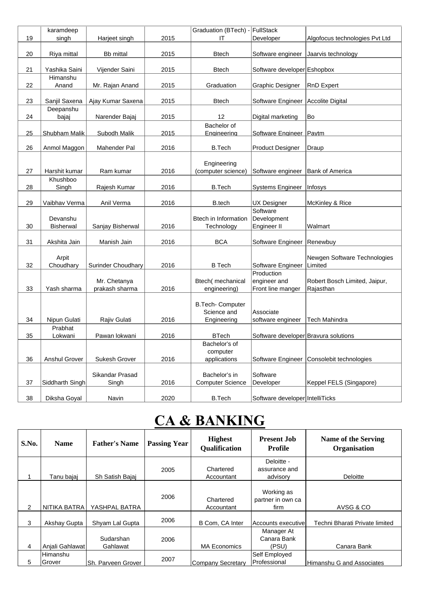|    | karamdeep                    |                                |      | Graduation (BTech) -                      | FullStack                                       |                                            |
|----|------------------------------|--------------------------------|------|-------------------------------------------|-------------------------------------------------|--------------------------------------------|
| 19 | singh                        | Harjeet singh                  | 2015 | ΙT                                        | Developer                                       | Algofocus technologies Pvt Ltd             |
| 20 | Riya mittal                  | <b>Bb</b> mittal               | 2015 | <b>Btech</b>                              | Software engineer                               | Jaarvis technology                         |
| 21 | Yashika Saini                | Vijender Saini                 | 2015 | <b>Btech</b>                              | Software developer Eshopbox                     |                                            |
| 22 | Himanshu<br>Anand            | Mr. Rajan Anand                | 2015 | Graduation                                | Graphic Designer                                | <b>RnD Expert</b>                          |
| 23 | Sanjil Saxena                | Ajay Kumar Saxena              | 2015 | <b>Btech</b>                              | Software Engineer                               | Accolite Digital                           |
| 24 | Deepanshu<br>bajaj           | Narender Bajaj                 | 2015 | 12                                        | Digital marketing                               | Bo                                         |
| 25 | <b>Shubham Malik</b>         | Subodh Malik                   | 2015 | Bachelor of<br>Engineering                | Software Engineer                               | Paytm                                      |
| 26 | Anmol Maggon                 | Mahender Pal                   | 2016 | <b>B.Tech</b>                             | <b>Product Designer</b>                         | Draup                                      |
| 27 | Harshit kumar                | Ram kumar                      | 2016 | Engineering<br>(computer science)         | Software engineer                               | <b>Bank of America</b>                     |
| 28 | Khushboo<br>Singh            | Rajesh Kumar                   | 2016 | <b>B.Tech</b>                             | <b>Systems Engineer</b>                         | Infosys                                    |
| 29 | Vaibhav Verma                | Anil Verma                     | 2016 | B.tech                                    | UX Designer                                     | <b>McKinley &amp; Rice</b>                 |
| 30 | Devanshu<br><b>Bisherwal</b> | Sanjay Bisherwal               | 2016 | <b>Btech in Information</b><br>Technology | Software<br>Development<br>Engineer II          | Walmart                                    |
| 31 | Akshita Jain                 | Manish Jain                    | 2016 | <b>BCA</b>                                | Software Engineer                               | Renewbuy                                   |
| 32 | Arpit<br>Choudhary           | Surinder Choudhary             | 2016 | <b>B</b> Tech                             | Software Engineer                               | Newgen Software Technologies<br>Limited    |
| 33 | Yash sharma                  | Mr. Chetanya<br>prakash sharma | 2016 | Btech(mechanical<br>engineering)          | Production<br>engineer and<br>Front line manger | Robert Bosch Limited, Jaipur,<br>Rajasthan |
|    |                              |                                |      | B.Tech- Computer<br>Science and           | Associate                                       |                                            |
| 34 | Nipun Gulati                 | Rajiv Gulati                   | 2016 | Engineering                               | software engineer                               | <b>Tech Mahindra</b>                       |
| 35 | Prabhat<br>Lokwani           | Pawan lokwani                  | 2016 | <b>BTech</b>                              | Software developer Bravura solutions            |                                            |
|    |                              |                                |      | Bachelor's of<br>computer                 |                                                 |                                            |
| 36 | <b>Anshul Grover</b>         | Sukesh Grover                  | 2016 | applications                              | Software Engineer                               | Consolebit technologies                    |
|    |                              | Sikandar Prasad                |      | Bachelor's in                             | Software                                        |                                            |
| 37 | Siddharth Singh              | Singh                          | 2016 | <b>Computer Science</b>                   | Developer                                       | Keppel FELS (Singapore)                    |
| 38 | Diksha Goyal                 | Navin                          | 2020 | <b>B.Tech</b>                             | Software developer IntelliTicks                 |                                            |

### **CA & BANKING**

| S.No. | <b>Name</b>        | <b>Father's Name</b>  | <b>Passing Year</b> | <b>Highest</b><br><b>Qualification</b> | <b>Present Job</b><br>Profile           | Name of the Serving<br>Organisation |
|-------|--------------------|-----------------------|---------------------|----------------------------------------|-----------------------------------------|-------------------------------------|
|       | Tanu bajaj         | Sh Satish Bajaj       | 2005                | Chartered<br>Accountant                | Deloitte -<br>assurance and<br>advisory | Deloitte                            |
| 2     | NITIKA BATRA       | YASHPAL BATRA         | 2006                | Chartered<br>Accountant                | Working as<br>partner in own ca<br>firm | AVSG & CO                           |
| 3     | Akshay Gupta       | Shyam Lal Gupta       | 2006                | B Com, CA Inter                        | Accounts executive                      | Techni Bharati Private limited      |
| 4     | Anjali Gahlawat    | Sudarshan<br>Gahlawat | 2006                | <b>MA Economics</b>                    | Manager At<br>Canara Bank<br>(PSU)      | Canara Bank                         |
| 5     | Himanshu<br>Grover | Sh. Parveen Grover    | 2007                | <b>Company Secretary</b>               | Self Employed<br>Professional           | Himanshu G and Associates           |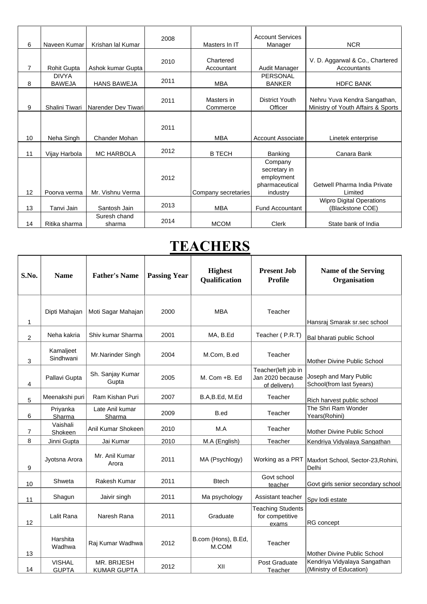| 6  | Naveen Kumar                  | Krishan lal Kumar      | 2008 | Masters In IT           | <b>Account Services</b><br>Manager                                  | <b>NCR</b>                                                         |
|----|-------------------------------|------------------------|------|-------------------------|---------------------------------------------------------------------|--------------------------------------------------------------------|
| 7  | <b>Rohit Gupta</b>            | Ashok kumar Gupta      | 2010 | Chartered<br>Accountant | Audit Manager                                                       | V. D. Aggarwal & Co., Chartered<br>Accountants                     |
| 8  | <b>DIVYA</b><br><b>BAWEJA</b> | <b>HANS BAWEJA</b>     | 2011 | <b>MBA</b>              | PERSONAL<br><b>BANKER</b>                                           | <b>HDFC BANK</b>                                                   |
| 9  | Shalini Tiwari                | Narender Dev Tiwari    | 2011 | Masters in<br>Commerce  | District Youth<br>Officer                                           | Nehru Yuva Kendra Sangathan,<br>Ministry of Youth Affairs & Sports |
|    |                               |                        | 2011 |                         |                                                                     |                                                                    |
| 10 | Neha Singh                    | Chander Mohan          |      | <b>MBA</b>              | Account Associate                                                   | Linetek enterprise                                                 |
| 11 | Vijay Harbola                 | <b>MC HARBOLA</b>      | 2012 | <b>B TECH</b>           | <b>Banking</b>                                                      | Canara Bank                                                        |
| 12 | Poorva verma                  | Mr. Vishnu Verma       | 2012 | Company secretaries     | Company<br>secretary in<br>employment<br>pharmaceutical<br>industry | Getwell Pharma India Private<br>Limited                            |
| 13 | Tanvi Jain                    | Santosh Jain           | 2013 | <b>MBA</b>              | <b>Fund Accountant</b>                                              | <b>Wipro Digital Operations</b><br>(Blackstone COE)                |
| 14 | Ritika sharma                 | Suresh chand<br>sharma | 2014 | <b>MCOM</b>             | Clerk                                                               | State bank of India                                                |

#### **TEACHERS**

| S.No.          | <b>Name</b>                   | <b>Father's Name</b>              | <b>Passing Year</b> | <b>Highest</b><br><b>Qualification</b> | <b>Present Job</b><br><b>Profile</b>                    | <b>Name of the Serving</b><br>Organisation              |
|----------------|-------------------------------|-----------------------------------|---------------------|----------------------------------------|---------------------------------------------------------|---------------------------------------------------------|
| 1              | Dipti Mahajan                 | Moti Sagar Mahajan                | 2000                | <b>MBA</b>                             | Teacher                                                 | Hansraj Smarak sr.sec school                            |
| $\overline{2}$ | Neha kakria                   | Shiv kumar Sharma                 | 2001                | MA, B.Ed                               | Teacher (P.R.T)                                         | Bal bharati public School                               |
| 3              | Kamaljeet<br>Sindhwani        | Mr.Narinder Singh                 | 2004                | M.Com, B.ed                            | Teacher                                                 | Mother Divine Public School                             |
| 4              | Pallavi Gupta                 | Sh. Sanjay Kumar<br>Gupta         | 2005                | M. Com +B. Ed                          | Teacher(left job in<br>Jan 2020 because<br>of delivery) | Joseph and Mary Public<br>School(from last 5years)      |
| 5              | Meenakshi puri                | Ram Kishan Puri                   | 2007                | B.A,B.Ed, M.Ed                         | Teacher                                                 | Rich harvest public school                              |
| 6              | Priyanka<br>Sharma            | Late Anil kumar<br>Sharma         | 2009                | B.ed                                   | Teacher                                                 | The Shri Ram Wonder<br>Years(Rohini)                    |
| $\overline{7}$ | Vaishali<br>Shokeen           | Anil Kumar Shokeen                | 2010                | M.A                                    | Teacher                                                 | Mother Divine Public School                             |
| 8              | Jinni Gupta                   | Jai Kumar                         | 2010                | M.A (English)                          | Teacher                                                 | Kendriya Vidyalaya Sangathan                            |
| 9              | Jyotsna Arora                 | Mr. Anil Kumar<br>Arora           | 2011                | MA (Psychlogy)                         | Working as a PRT                                        | Maxfort School, Sector-23, Rohini,<br>Delhi             |
| 10             | Shweta                        | Rakesh Kumar                      | 2011                | <b>Btech</b>                           | Govt school<br>teacher                                  | Govt girls senior secondary school                      |
| 11             | Shagun                        | Jaivir singh                      | 2011                | Ma psychology                          | Assistant teacher                                       | Spv lodi estate                                         |
| 12             | Lalit Rana                    | Naresh Rana                       | 2011                | Graduate                               | <b>Teaching Students</b><br>for competitive<br>exams    | RG concept                                              |
| 13             | Harshita<br>Wadhwa            | Raj Kumar Wadhwa                  | 2012                | B.com (Hons), B.Ed,<br>M.COM           | Teacher                                                 | Mother Divine Public School                             |
| 14             | <b>VISHAL</b><br><b>GUPTA</b> | MR. BRIJESH<br><b>KUMAR GUPTA</b> | 2012                | XII                                    | Post Graduate<br>Teacher                                | Kendriya Vidyalaya Sangathan<br>(Ministry of Education) |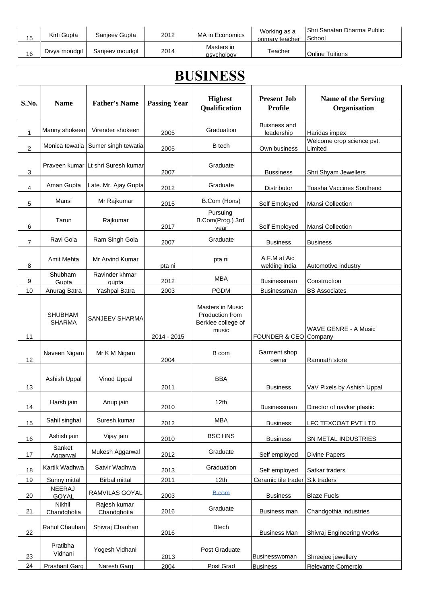| 15 | Kirti Gupta   | Sanjeev Gupta   | 2012 | MA in Economics          | Working as a<br>primary teacher | Shri Sanatan Dharma Public<br>lSchool |
|----|---------------|-----------------|------|--------------------------|---------------------------------|---------------------------------------|
| 16 | Divya moudgil | Sanjeev moudgil | 2014 | Masters in<br>psychology | Геасһег                         | <b>IOnline Tuitions</b>               |

|                |                                 |                                    |                     | <b>BUSINESS</b>                                                           |                                      |                                            |
|----------------|---------------------------------|------------------------------------|---------------------|---------------------------------------------------------------------------|--------------------------------------|--------------------------------------------|
| S.No.          | <b>Name</b>                     | <b>Father's Name</b>               | <b>Passing Year</b> | <b>Highest</b><br>Qualification                                           | <b>Present Job</b><br><b>Profile</b> | <b>Name of the Serving</b><br>Organisation |
| 1              | Manny shokeen                   | Virender shokeen                   | 2005                | Graduation                                                                | <b>Buisness and</b><br>leadership    | Haridas impex                              |
| 2              | Monica tewatia                  | Sumer singh tewatia                | 2005                | <b>B</b> tech                                                             | Own business                         | Welcome crop science pvt.<br>Limited       |
| 3              |                                 | Praveen kumar Lt shri Suresh kumar | 2007                | Graduate                                                                  | <b>Bussiness</b>                     | Shri Shyam Jewellers                       |
| 4              | Aman Gupta                      | Late. Mr. Ajay Gupta               | 2012                | Graduate                                                                  | <b>Distributor</b>                   | Toasha Vaccines Southend                   |
| 5              | Mansi                           | Mr Rajkumar                        | 2015                | B.Com (Hons)                                                              | Self Employed                        | Mansi Collection                           |
| 6              | Tarun                           | Rajkumar                           | 2017                | Pursuing<br>B.Com(Prog.) 3rd<br>vear                                      | Self Employed                        | Mansi Collection                           |
| $\overline{7}$ | Ravi Gola                       | Ram Singh Gola                     | 2007                | Graduate                                                                  | <b>Business</b>                      | <b>Business</b>                            |
| 8              | Amit Mehta                      | Mr Arvind Kumar                    | pta ni              | pta ni                                                                    | A.F.M at Aic<br>welding india        | Automotive industry                        |
| 9              | Shubham<br>Gupta                | Ravinder khmar<br>qupta            | 2012                | <b>MBA</b>                                                                | <b>Businessman</b>                   | Construction                               |
| 10             | Anurag Batra                    | Yashpal Batra                      | 2003                | <b>PGDM</b>                                                               | <b>Businessman</b>                   | <b>BS Associates</b>                       |
| 11             | <b>SHUBHAM</b><br><b>SHARMA</b> | <b>SANJEEV SHARMA</b>              | 2014 - 2015         | <b>Masters in Music</b><br>Production from<br>Berklee college of<br>music | FOUNDER & CEO Company                | <b>WAVE GENRE - A Music</b>                |
| 12             | Naveen Nigam                    | Mr K M Nigam                       | 2004                | B com                                                                     | Garment shop<br>owner                | Ramnath store                              |
| 13             | Ashish Uppal                    | Vinod Uppal                        | 2011                | <b>BBA</b>                                                                | <b>Business</b>                      | VaV Pixels by Ashish Uppal                 |
| 14             | Harsh jain                      | Anup jain                          | 2010                | 12th                                                                      | <b>Businessman</b>                   | Director of navkar plastic                 |
| 15             | Sahil singhal                   | Suresh kumar                       | 2012                | <b>MBA</b>                                                                | <b>Business</b>                      | LFC TEXCOAT PVT LTD                        |
| 16             | Ashish jain                     | Vijay jain                         | 2010                | <b>BSC HNS</b>                                                            | <b>Business</b>                      | SN METAL INDUSTRIES                        |
| 17             | Sanket<br>Aggarwal              | Mukesh Aggarwal                    | 2012                | Graduate                                                                  | Self employed                        | <b>Divine Papers</b>                       |
| 18             | Kartik Wadhwa                   | Satvir Wadhwa                      | 2013                | Graduation                                                                | Self employed                        | Satkar traders                             |
| 19             | Sunny mittal                    | <b>Birbal mittal</b>               | 2011                | 12 <sub>th</sub>                                                          | Ceramic tile trader                  | S.k traders                                |
| 20             | <b>NEERAJ</b><br>GOYAL          | RAMVILAS GOYAL                     | 2003                | <b>B.com</b>                                                              | <b>Business</b>                      | <b>Blaze Fuels</b>                         |
| 21             | Nikhil<br>Chandghotia           | Rajesh kumar<br>Chandghotia        | 2016                | Graduate                                                                  | Business man                         | Chandgothia industries                     |
| 22             | Rahul Chauhan                   | Shivraj Chauhan                    | 2016                | <b>Btech</b>                                                              | <b>Business Man</b>                  | Shivraj Engineering Works                  |
| 23             | Pratibha<br>Vidhani             | Yogesh Vidhani                     | 2013                | Post Graduate                                                             | Businesswoman                        | Shreejee jewellery                         |
| 24             | Prashant Garg                   | Naresh Garg                        | 2004                | Post Grad                                                                 | <b>Business</b>                      | Relevante Comercio                         |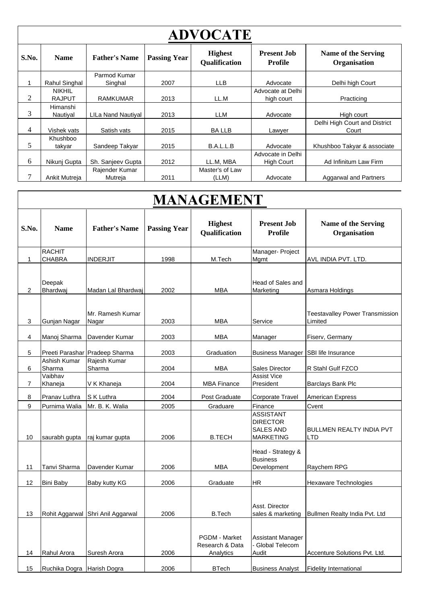|       | <b>ADVOCATE</b> |                      |                     |                                        |                               |                                        |  |  |  |  |
|-------|-----------------|----------------------|---------------------|----------------------------------------|-------------------------------|----------------------------------------|--|--|--|--|
| S.No. | <b>Name</b>     | <b>Father's Name</b> | <b>Passing Year</b> | <b>Highest</b><br><b>Qualification</b> | <b>Present Job</b><br>Profile | Name of the Serving<br>Organisation    |  |  |  |  |
|       |                 | Parmod Kumar         |                     |                                        |                               |                                        |  |  |  |  |
|       | Rahul Singhal   | Singhal              | 2007                | <b>LLB</b>                             | Advocate                      | Delhi high Court                       |  |  |  |  |
|       | <b>NIKHIL</b>   |                      |                     |                                        | Advocate at Delhi             |                                        |  |  |  |  |
| 2     | <b>RAJPUT</b>   | <b>RAMKUMAR</b>      | 2013                | LL.M                                   | high court                    | Practicing                             |  |  |  |  |
|       | Himanshi        |                      |                     |                                        |                               |                                        |  |  |  |  |
| 3     | Nautiyal        | LILa Nand Nautiyal   | 2013                | LLM                                    | Advocate                      | High court                             |  |  |  |  |
| 4     | Vishek vats     | Satish vats          | 2015                | <b>BALLB</b>                           | Lawyer                        | Delhi High Court and District<br>Court |  |  |  |  |
|       | Khushboo        |                      |                     |                                        |                               |                                        |  |  |  |  |
| 5     | takyar          | Sandeep Takyar       | 2015                | B.A.L.L.B                              | Advocate                      | Khushboo Takyar & associate            |  |  |  |  |
|       |                 |                      |                     |                                        | Advocate in Delhi             |                                        |  |  |  |  |
| 6     | Nikunj Gupta    | Sh. Sanjeev Gupta    | 2012                | LL.M. MBA                              | <b>High Court</b>             | Ad Infinitum Law Firm                  |  |  |  |  |
|       |                 | Rajender Kumar       |                     | Master's of Law                        |                               |                                        |  |  |  |  |
|       | Ankit Mutreja   | Mutreja              | 2011                | (LLM)                                  | Advocate                      | <b>Aggarwal and Partners</b>           |  |  |  |  |

# **MANAGEMENT**

| S.No.          | <b>Name</b>                | <b>Father's Name</b>              | <b>Passing Year</b> | <b>Highest</b><br><b>Qualification</b>               | <b>Present Job</b><br><b>Profile</b>                                        | <b>Name of the Serving</b><br>Organisation        |
|----------------|----------------------------|-----------------------------------|---------------------|------------------------------------------------------|-----------------------------------------------------------------------------|---------------------------------------------------|
|                | <b>RACHIT</b>              |                                   |                     |                                                      | Manager- Project                                                            |                                                   |
| 1              | <b>CHABRA</b>              | INDERJIT                          | 1998                | M.Tech                                               | Mgmt                                                                        | AVL INDIA PVT. LTD.                               |
| 2              | Deepak<br>Bhardwaj         | Madan Lal Bhardwaj                | 2002                | MBA                                                  | Head of Sales and<br>Marketing                                              | Asmara Holdings                                   |
| 3              | Gunjan Nagar               | Mr. Ramesh Kumar<br>Nagar         | 2003                | <b>MBA</b>                                           | Service                                                                     | <b>Teestavalley Power Transmission</b><br>Limited |
| 4              | Manoj Sharma               | Davender Kumar                    | 2003                | <b>MBA</b>                                           | Manager                                                                     | Fiserv, Germany                                   |
| 5              | Preeti Parashar            | Pradeep Sharma                    | 2003                | Graduation                                           | <b>Business Manager</b>                                                     | SBI life Insurance                                |
| 6              | Ashish Kumar<br>Sharma     | Rajesh Kumar<br>Sharma            | 2004                | MBA                                                  | Sales Director                                                              | R Stahl Gulf FZCO                                 |
| $\overline{7}$ | Vaibhav<br>Khaneja         | V K Khaneja                       | 2004                | <b>MBA Finance</b>                                   | <b>Assist Vice</b><br>President                                             | Barclays Bank Plc                                 |
| 8              | Pranav Luthra              | S K Luthra                        | 2004                | Post Graduate                                        | <b>Corporate Travel</b>                                                     | <b>American Express</b>                           |
| 9              | Purnima Walia              | Mr. B. K. Walia                   | 2005                | Graduare                                             | Finance                                                                     | Cvent                                             |
| 10             | saurabh gupta              | raj kumar gupta                   | 2006                | <b>B.TECH</b>                                        | <b>ASSISTANT</b><br><b>DIRECTOR</b><br><b>SALES AND</b><br><b>MARKETING</b> | <b>BULLMEN REALTY INDIA PVT</b><br>LTD            |
| 11             | Tanvi Sharma               | Davender Kumar                    | 2006                | <b>MBA</b>                                           | Head - Strategy &<br><b>Business</b><br>Development                         | Raychem RPG                                       |
| 12             | <b>Bini Baby</b>           | Baby kutty KG                     | 2006                | Graduate                                             | <b>HR</b>                                                                   | Hexaware Technologies                             |
| 13             |                            | Rohit Aggarwal Shri Anil Aggarwal | 2006                | <b>B.Tech</b>                                        | Asst. Director<br>sales & marketing                                         | Bullmen Realty India Pvt. Ltd                     |
| 14             | Rahul Arora                | Suresh Arora                      | 2006                | <b>PGDM - Market</b><br>Research & Data<br>Analytics | Assistant Manager<br>- Global Telecom<br>Audit                              | Accenture Solutions Pvt. Ltd.                     |
| 15             | Ruchika Dogra Harish Dogra |                                   | 2006                | <b>BTech</b>                                         | <b>Business Analyst</b>                                                     | <b>Fidelity International</b>                     |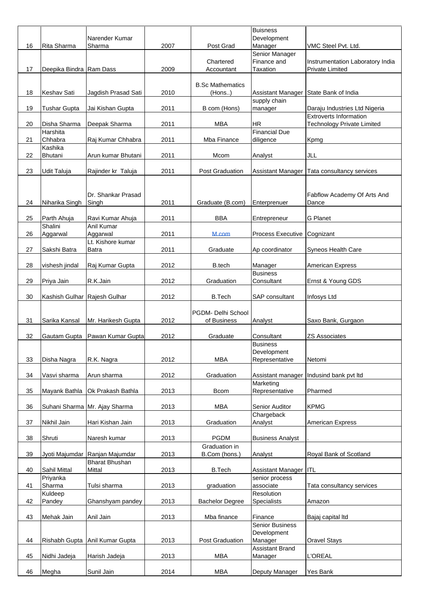|    |                              | Narender Kumar                  |      |                         | <b>Buisness</b><br>Development        |                                                            |
|----|------------------------------|---------------------------------|------|-------------------------|---------------------------------------|------------------------------------------------------------|
| 16 | Rita Sharma                  | Sharma                          | 2007 | Post Grad               | Manager                               | VMC Steel Pvt. Ltd.                                        |
|    |                              |                                 |      |                         | Senior Manager                        |                                                            |
| 17 | Deepika Bindra Ram Dass      |                                 | 2009 | Chartered<br>Accountant | Finance and<br>Taxation               | Instrumentation Laboratory India<br><b>Private Limited</b> |
|    |                              |                                 |      |                         |                                       |                                                            |
|    |                              |                                 |      | <b>B.Sc Mathematics</b> |                                       |                                                            |
| 18 | Keshav Sati                  | Jagdish Prasad Sati             | 2010 | (Hons)                  | Assistant Manager State Bank of India |                                                            |
| 19 | Tushar Gupta                 | Jai Kishan Gupta                | 2011 | B com (Hons)            | supply chain<br>manager               | Daraju Industries Ltd Nigeria                              |
|    |                              |                                 |      |                         |                                       | <b>Extroverts Information</b>                              |
| 20 | Disha Sharma                 | Deepak Sharma                   | 2011 | <b>MBA</b>              | <b>HR</b>                             | <b>Technology Private Limited</b>                          |
|    | Harshita                     |                                 |      |                         | <b>Financial Due</b>                  |                                                            |
| 21 | Chhabra<br>Kashika           | Raj Kumar Chhabra               | 2011 | Mba Finance             | diligence                             | Kpmg                                                       |
| 22 | Bhutani                      | Arun kumar Bhutani              | 2011 | Mcom                    | Analyst                               | JLL                                                        |
|    |                              |                                 |      |                         |                                       |                                                            |
| 23 | Udit Taluja                  | Rajinder kr Taluja              | 2011 | <b>Post Graduation</b>  | Assistant Manager                     | Tata consultancy services                                  |
|    |                              |                                 |      |                         |                                       |                                                            |
|    |                              | Dr. Shankar Prasad              |      |                         |                                       | Fabflow Academy Of Arts And                                |
| 24 | Niharika Singh               | Singh                           | 2011 | Graduate (B.com)        | Enterprenuer                          | Dance                                                      |
|    |                              |                                 | 2011 | <b>BBA</b>              |                                       | <b>G</b> Planet                                            |
| 25 | Parth Ahuja<br>Shalini       | Ravi Kumar Ahuja<br>Anil Kumar  |      |                         | Entrepreneur                          |                                                            |
| 26 | Aggarwal                     | Aggarwal                        | 2011 | M.com                   | <b>Process Executive</b>              | Cognizant                                                  |
|    |                              | Lt. Kishore kumar               |      |                         |                                       |                                                            |
| 27 | Sakshi Batra                 | <b>Batra</b>                    | 2011 | Graduate                | Ap coordinator                        | Syneos Health Care                                         |
| 28 | vishesh jindal               | Raj Kumar Gupta                 | 2012 | B.tech                  | Manager                               | <b>American Express</b>                                    |
|    |                              |                                 |      |                         | <b>Business</b>                       |                                                            |
| 29 | Priya Jain                   | R.K.Jain                        | 2012 | Graduation              | Consultant                            | Ernst & Young GDS                                          |
|    |                              |                                 |      |                         |                                       |                                                            |
| 30 | Kashish Gulhar Rajesh Gulhar |                                 | 2012 | <b>B.Tech</b>           | SAP consultant                        | Infosys Ltd                                                |
|    |                              |                                 |      | PGDM- Delhi School      |                                       |                                                            |
| 31 | Sarika Kansal                | Mr. Harikesh Gupta              | 2012 | of Business             | Analyst                               | Saxo Bank, Gurgaon                                         |
|    |                              |                                 |      |                         |                                       |                                                            |
|    |                              |                                 |      | Graduate                | Consultant                            | <b>ZS Associates</b>                                       |
| 32 | Gautam Gupta                 | Pawan Kumar Gupta               | 2012 |                         |                                       |                                                            |
|    |                              |                                 |      |                         | <b>Business</b><br>Development        |                                                            |
| 33 | Disha Nagra                  | R.K. Nagra                      | 2012 | <b>MBA</b>              | Representative                        | Netomi                                                     |
|    |                              |                                 |      |                         |                                       |                                                            |
| 34 | Vasvi sharma                 | Arun sharma                     | 2012 | Graduation              | Assistant manager                     | Indusind bank pvt ltd                                      |
| 35 | Mayank Bathla                | Ok Prakash Bathla               | 2013 | <b>Bcom</b>             | Marketing<br>Representative           | Pharmed                                                    |
|    |                              |                                 |      |                         |                                       |                                                            |
| 36 |                              | Suhani Sharma Mr. Ajay Sharma   | 2013 | MBA                     | Senior Auditor                        | <b>KPMG</b>                                                |
|    |                              |                                 |      |                         | Chargeback                            |                                                            |
| 37 | Nikhil Jain                  | Hari Kishan Jain                | 2013 | Graduation              | Analyst                               | <b>American Express</b>                                    |
| 38 | Shruti                       | Naresh kumar                    | 2013 | <b>PGDM</b>             | <b>Business Analyst</b>               |                                                            |
|    |                              |                                 |      | Graduation in           |                                       |                                                            |
| 39 |                              | Jyoti Majumdar Ranjan Majumdar  | 2013 | B.Com (hons.)           | Analyst                               | Royal Bank of Scotland                                     |
| 40 | Sahil Mittal                 | <b>Bharat Bhushan</b><br>Mittal | 2013 | <b>B.Tech</b>           | Assistant Manager                     | IITL                                                       |
|    | Priyanka                     |                                 |      |                         | senior process                        |                                                            |
| 41 | Sharma                       | Tulsi sharma                    | 2013 | graduation              | associate                             | Tata consultancy services                                  |
|    | Kuldeep                      |                                 |      |                         | Resolution                            |                                                            |
| 42 | Pandey                       | Ghanshyam pandey                | 2013 | <b>Bachelor Degree</b>  | Specialists                           | Amazon                                                     |
| 43 | Mehak Jain                   | Anil Jain                       | 2013 | Mba finance             | Finance                               | Bajaj capital Itd                                          |
|    |                              |                                 |      |                         | <b>Senior Business</b>                |                                                            |
|    |                              |                                 |      |                         | Development                           |                                                            |
| 44 | Rishabh Gupta                | Anil Kumar Gupta                | 2013 | Post Graduation         | Manager<br><b>Assistant Brand</b>     | <b>Oravel Stays</b>                                        |
| 45 | Nidhi Jadeja                 | Harish Jadeja                   | 2013 | <b>MBA</b>              | Manager                               | L'OREAL                                                    |
| 46 | Megha                        | Sunil Jain                      | 2014 | MBA                     | Deputy Manager                        | Yes Bank                                                   |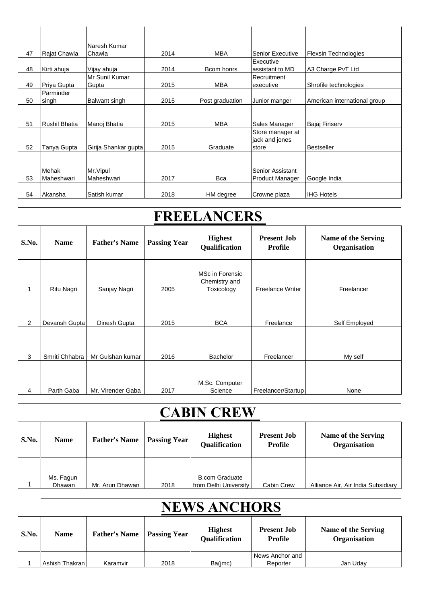|    |               | Naresh Kumar         |      |                 |                         |                              |
|----|---------------|----------------------|------|-----------------|-------------------------|------------------------------|
| 47 | Rajat Chawla  | Chawla               | 2014 | <b>MBA</b>      | <b>Senior Executive</b> | <b>Flexsin Technologies</b>  |
|    |               |                      |      |                 | Executive               |                              |
| 48 | Kirti ahuja   | Vijay ahuja          | 2014 | Bcom honrs      | assistant to MD         | A3 Charge PvT Ltd            |
|    |               | Mr Sunil Kumar       |      |                 | Recruitment             |                              |
| 49 | Priya Gupta   | Gupta                | 2015 | <b>MBA</b>      | executive               | Shrofile technologies        |
|    | Parminder     |                      |      |                 |                         |                              |
| 50 | singh         | Balwant singh        | 2015 | Post graduation | Junior manger           | American international group |
|    |               |                      |      |                 |                         |                              |
|    |               |                      |      |                 |                         |                              |
| 51 | Rushil Bhatia | Manoj Bhatia         | 2015 | <b>MBA</b>      | Sales Manager           | Bajaj Finserv                |
|    |               |                      |      |                 | Store manager at        |                              |
|    |               |                      |      |                 | jack and jones          |                              |
| 52 | Tanya Gupta   | Girija Shankar gupta | 2015 | Graduate        | store                   | <b>Bestseller</b>            |
|    |               |                      |      |                 |                         |                              |
|    |               |                      |      |                 |                         |                              |
|    | Mehak         | Mr. Vipul            |      |                 | Senior Assistant        |                              |
| 53 | Maheshwari    | Maheshwari           | 2017 | <b>Bca</b>      | <b>Product Manager</b>  | Google India                 |
|    |               |                      |      |                 |                         |                              |
| 54 | Akansha       | Satish kumar         | 2018 | HM degree       | Crowne plaza            | <b>IHG Hotels</b>            |

| <b>FREELANCERS</b> |                |                      |                     |                                                |                                      |                                            |
|--------------------|----------------|----------------------|---------------------|------------------------------------------------|--------------------------------------|--------------------------------------------|
| S.No.              | <b>Name</b>    | <b>Father's Name</b> | <b>Passing Year</b> | <b>Highest</b><br>Qualification                | <b>Present Job</b><br><b>Profile</b> | <b>Name of the Serving</b><br>Organisation |
|                    | Ritu Nagri     | Sanjay Nagri         | 2005                | MSc in Forensic<br>Chemistry and<br>Toxicology | <b>Freelance Writer</b>              | Freelancer                                 |
| 2                  | Devansh Gupta  | Dinesh Gupta         | 2015                | <b>BCA</b>                                     | Freelance                            | Self Employed                              |
| 3                  | Smriti Chhabra | Mr Gulshan kumar     | 2016                | Bachelor                                       | Freelancer                           | My self                                    |
| 4                  | Parth Gaba     | Mr. Virender Gaba    | 2017                | M.Sc. Computer<br>Science                      | Freelancer/Startup                   | None                                       |

## **CABIN CREW**

| S.No. | <b>Name</b>         | <b>Father's Name</b> | <b>Passing Year</b> | <b>Highest</b><br><b>Qualification</b>         | <b>Present Job</b><br>Profile | Name of the Serving<br>Organisation |
|-------|---------------------|----------------------|---------------------|------------------------------------------------|-------------------------------|-------------------------------------|
|       | Ms. Fagun<br>Dhawan | Mr. Arun Dhawan      | 2018                | <b>B.com Graduate</b><br>from Delhi University | Cabin Crew                    | Alliance Air, Air India Subsidiary  |

# **NEWS ANCHORS**

| S.No. | <b>Name</b>      | <b>Father's Name</b> | <b>Passing Year</b> | <b>Highest</b><br><b>Qualification</b> | <b>Present Job</b><br>Profile | Name of the Serving<br><b>Organisation</b> |
|-------|------------------|----------------------|---------------------|----------------------------------------|-------------------------------|--------------------------------------------|
|       |                  |                      |                     |                                        | News Anchor and               |                                            |
|       | Ashish Thakran I | Karamvir             | 2018                | Ba(jmc)                                | Reporter                      | Jan Uday                                   |